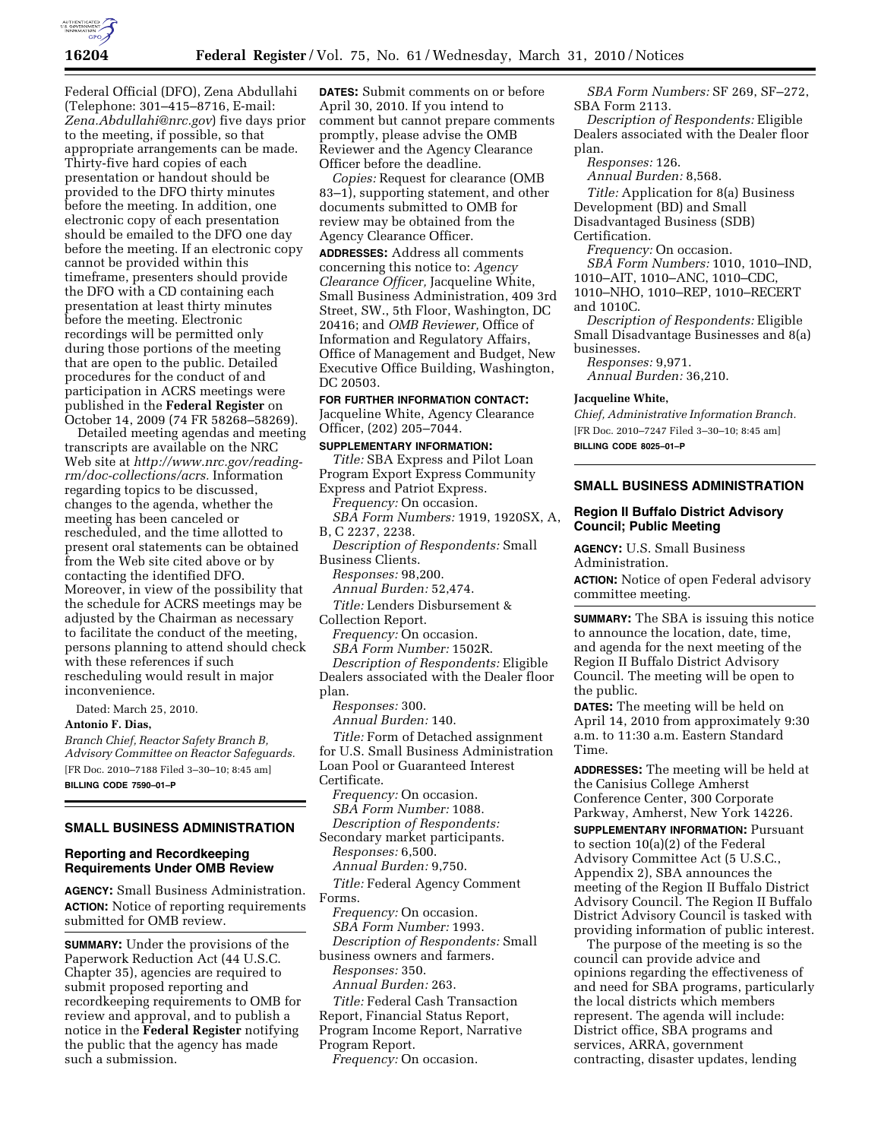

Federal Official (DFO), Zena Abdullahi (Telephone: 301–415–8716, E-mail: *Zena.Abdullahi@nrc.gov*) five days prior to the meeting, if possible, so that appropriate arrangements can be made. Thirty-five hard copies of each presentation or handout should be provided to the DFO thirty minutes before the meeting. In addition, one electronic copy of each presentation should be emailed to the DFO one day before the meeting. If an electronic copy cannot be provided within this timeframe, presenters should provide the DFO with a CD containing each presentation at least thirty minutes before the meeting. Electronic recordings will be permitted only during those portions of the meeting that are open to the public. Detailed procedures for the conduct of and participation in ACRS meetings were published in the **Federal Register** on October 14, 2009 (74 FR 58268–58269).

Detailed meeting agendas and meeting transcripts are available on the NRC Web site at *http://www.nrc.gov/readingrm/doc-collections/acrs.* Information regarding topics to be discussed, changes to the agenda, whether the meeting has been canceled or rescheduled, and the time allotted to present oral statements can be obtained from the Web site cited above or by contacting the identified DFO. Moreover, in view of the possibility that the schedule for ACRS meetings may be adjusted by the Chairman as necessary to facilitate the conduct of the meeting, persons planning to attend should check with these references if such rescheduling would result in major inconvenience.

Dated: March 25, 2010.

**Antonio F. Dias,** 

*Branch Chief, Reactor Safety Branch B, Advisory Committee on Reactor Safeguards.*  [FR Doc. 2010–7188 Filed 3–30–10; 8:45 am] **BILLING CODE 7590–01–P** 

## **SMALL BUSINESS ADMINISTRATION**

# **Reporting and Recordkeeping Requirements Under OMB Review**

**AGENCY:** Small Business Administration. **ACTION:** Notice of reporting requirements submitted for OMB review.

**SUMMARY:** Under the provisions of the Paperwork Reduction Act (44 U.S.C. Chapter 35), agencies are required to submit proposed reporting and recordkeeping requirements to OMB for review and approval, and to publish a notice in the **Federal Register** notifying the public that the agency has made such a submission.

**DATES:** Submit comments on or before April 30, 2010. If you intend to comment but cannot prepare comments promptly, please advise the OMB Reviewer and the Agency Clearance Officer before the deadline.

*Copies:* Request for clearance (OMB 83–1), supporting statement, and other documents submitted to OMB for review may be obtained from the Agency Clearance Officer.

**ADDRESSES:** Address all comments concerning this notice to: *Agency Clearance Officer,* Jacqueline White, Small Business Administration, 409 3rd Street, SW., 5th Floor, Washington, DC 20416; and *OMB Reviewer,* Office of Information and Regulatory Affairs, Office of Management and Budget, New Executive Office Building, Washington, DC 20503.

### **FOR FURTHER INFORMATION CONTACT:**

Jacqueline White, Agency Clearance Officer, (202) 205–7044.

**SUPPLEMENTARY INFORMATION:**  *Title:* SBA Express and Pilot Loan Program Export Express Community Express and Patriot Express. *Frequency:* On occasion. *SBA Form Numbers:* 1919, 1920SX, A, B, C 2237, 2238. *Description of Respondents:* Small Business Clients. *Responses:* 98,200. *Annual Burden:* 52,474. *Title:* Lenders Disbursement & Collection Report. *Frequency:* On occasion. *SBA Form Number:* 1502R. *Description of Respondents:* Eligible Dealers associated with the Dealer floor

plan. *Responses:* 300.

*Annual Burden:* 140.

*Title:* Form of Detached assignment for U.S. Small Business Administration Loan Pool or Guaranteed Interest Certificate.

*Frequency:* On occasion. *SBA Form Number:* 1088. *Description of Respondents:*  Secondary market participants.

*Responses:* 6,500.

*Annual Burden:* 9,750.

*Title:* Federal Agency Comment Forms.

*Frequency:* On occasion. *SBA Form Number:* 1993. *Description of Respondents:* Small business owners and farmers.

*Responses:* 350.

*Annual Burden:* 263.

*Title:* Federal Cash Transaction Report, Financial Status Report, Program Income Report, Narrative Program Report.

*Frequency:* On occasion.

*SBA Form Numbers:* SF 269, SF–272, SBA Form 2113.

*Description of Respondents:* Eligible Dealers associated with the Dealer floor plan.

*Responses:* 126.

*Annual Burden:* 8,568.

*Title:* Application for 8(a) Business Development (BD) and Small Disadvantaged Business (SDB) Certification.

*Frequency:* On occasion.

*SBA Form Numbers:* 1010, 1010–IND, 1010–AIT, 1010–ANC, 1010–CDC,

1010–NHO, 1010–REP, 1010–RECERT and 1010C.

*Description of Respondents:* Eligible Small Disadvantage Businesses and 8(a) businesses.

*Responses:* 9,971. *Annual Burden:* 36,210.

#### **Jacqueline White,**

*Chief, Administrative Information Branch.*  [FR Doc. 2010–7247 Filed 3–30–10; 8:45 am] **BILLING CODE 8025–01–P** 

## **SMALL BUSINESS ADMINISTRATION**

# **Region II Buffalo District Advisory Council; Public Meeting**

**AGENCY:** U.S. Small Business Administration.

**ACTION:** Notice of open Federal advisory committee meeting.

**SUMMARY:** The SBA is issuing this notice to announce the location, date, time, and agenda for the next meeting of the Region II Buffalo District Advisory Council. The meeting will be open to the public.

**DATES:** The meeting will be held on April 14, 2010 from approximately 9:30 a.m. to 11:30 a.m. Eastern Standard Time.

**ADDRESSES:** The meeting will be held at the Canisius College Amherst Conference Center, 300 Corporate Parkway, Amherst, New York 14226.

**SUPPLEMENTARY INFORMATION:** Pursuant to section 10(a)(2) of the Federal Advisory Committee Act (5 U.S.C., Appendix 2), SBA announces the meeting of the Region II Buffalo District Advisory Council. The Region II Buffalo District Advisory Council is tasked with providing information of public interest.

The purpose of the meeting is so the council can provide advice and opinions regarding the effectiveness of and need for SBA programs, particularly the local districts which members represent. The agenda will include: District office, SBA programs and services, ARRA, government contracting, disaster updates, lending